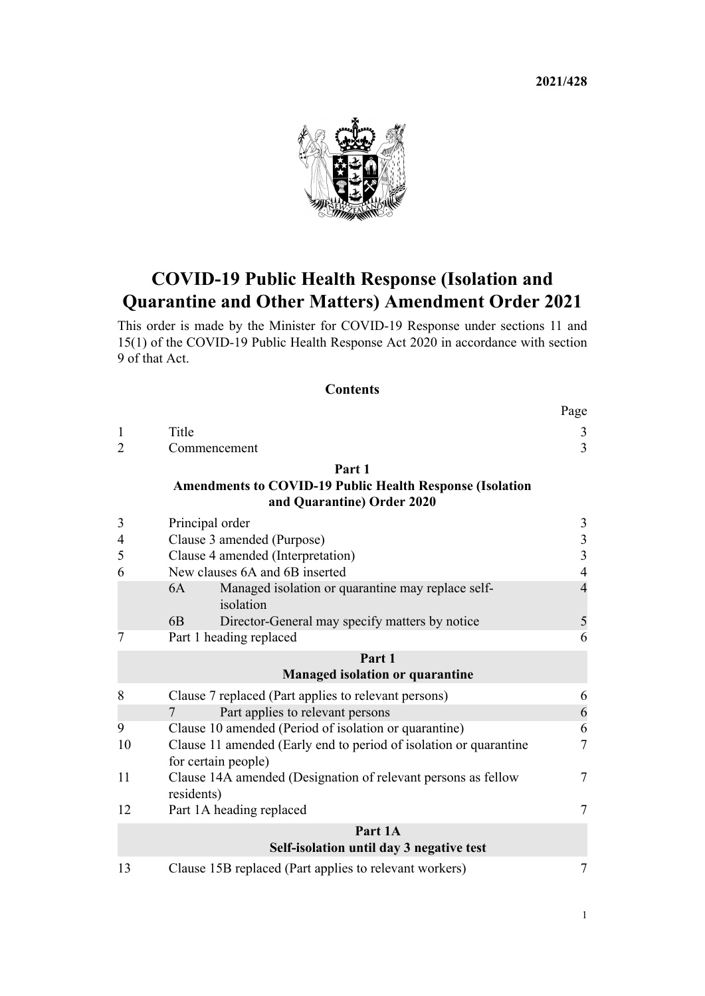**2021/428**



# **COVID-19 Public Health Response (Isolation and Quarantine and Other Matters) Amendment Order 2021**

This order is made by the Minister for COVID-19 Response under [sections 11](http://legislation.govt.nz/pdflink.aspx?id=LMS344177) and [15\(1\)](http://legislation.govt.nz/pdflink.aspx?id=LMS344183) of the [COVID-19 Public Health Response Act 2020](http://legislation.govt.nz/pdflink.aspx?id=LMS344121) in accordance with [section](http://legislation.govt.nz/pdflink.aspx?id=LMS344175) [9](http://legislation.govt.nz/pdflink.aspx?id=LMS344175) of that Act.

### **Contents**

|                |                                                                                               | Page           |
|----------------|-----------------------------------------------------------------------------------------------|----------------|
| $\mathbf{1}$   | Title                                                                                         | 3              |
| $\overline{2}$ | Commencement                                                                                  | 3              |
|                | Part 1                                                                                        |                |
|                | <b>Amendments to COVID-19 Public Health Response (Isolation</b><br>and Quarantine) Order 2020 |                |
| 3              | Principal order                                                                               | $\mathfrak{Z}$ |
| $\overline{4}$ | Clause 3 amended (Purpose)                                                                    | $\frac{3}{3}$  |
| 5              | Clause 4 amended (Interpretation)                                                             |                |
| 6              | New clauses 6A and 6B inserted                                                                | $\overline{4}$ |
|                | Managed isolation or quarantine may replace self-<br>6A<br>isolation                          | $\overline{4}$ |
|                | Director-General may specify matters by notice<br>6B                                          | 5              |
| 7              | Part 1 heading replaced                                                                       | 6              |
|                | Part 1                                                                                        |                |
|                | <b>Managed isolation or quarantine</b>                                                        |                |
| 8              | Clause 7 replaced (Part applies to relevant persons)                                          | 6              |
|                | Part applies to relevant persons<br>7                                                         | 6              |
| 9              | Clause 10 amended (Period of isolation or quarantine)                                         | 6              |
| 10             | Clause 11 amended (Early end to period of isolation or quarantine<br>for certain people)      | $\overline{7}$ |
| 11             | Clause 14A amended (Designation of relevant persons as fellow<br>residents)                   | 7              |
| 12             | Part 1A heading replaced                                                                      | $\tau$         |
|                | Part 1A                                                                                       |                |
|                | Self-isolation until day 3 negative test                                                      |                |
| 13             | Clause 15B replaced (Part applies to relevant workers)                                        | 7              |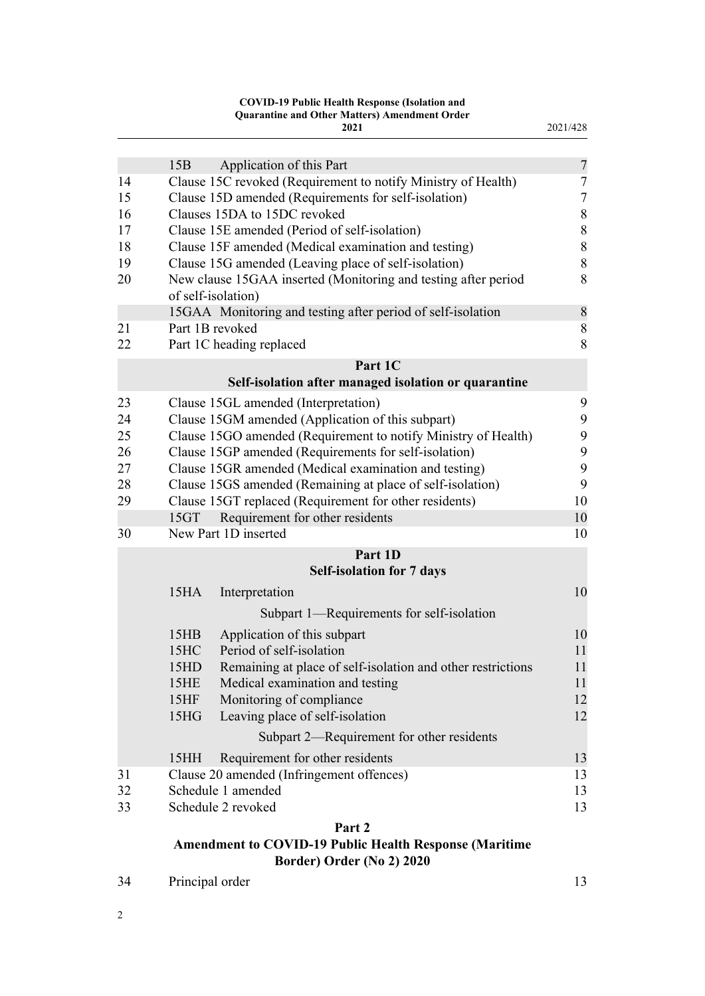#### **COVID-19 Public Health Response (Isolation and Quarantine and Other Matters) Amendment Order**

|    |                   | 2021                                                                           | 2021/428       |
|----|-------------------|--------------------------------------------------------------------------------|----------------|
|    | 15B               | Application of this Part                                                       | $\overline{7}$ |
| 14 |                   | Clause 15C revoked (Requirement to notify Ministry of Health)                  | $\tau$         |
| 15 |                   | Clause 15D amended (Requirements for self-isolation)                           | 7              |
| 16 |                   | Clauses 15DA to 15DC revoked                                                   | $8\,$          |
| 17 |                   | Clause 15E amended (Period of self-isolation)                                  | $8\,$          |
| 18 |                   | Clause 15F amended (Medical examination and testing)                           | $8\,$          |
| 19 |                   | Clause 15G amended (Leaving place of self-isolation)                           | $8\,$          |
| 20 |                   | New clause 15GAA inserted (Monitoring and testing after period                 | 8              |
|    |                   | of self-isolation)                                                             |                |
|    |                   |                                                                                | $\,$ $\,$      |
| 21 |                   | 15GAA Monitoring and testing after period of self-isolation<br>Part 1B revoked |                |
|    |                   |                                                                                | 8              |
| 22 |                   | Part 1C heading replaced                                                       | 8              |
|    |                   | Part 1C                                                                        |                |
|    |                   | Self-isolation after managed isolation or quarantine                           |                |
| 23 |                   | Clause 15GL amended (Interpretation)                                           | 9              |
| 24 |                   | Clause 15GM amended (Application of this subpart)                              | 9              |
| 25 |                   | Clause 15GO amended (Requirement to notify Ministry of Health)                 | 9              |
| 26 |                   | Clause 15GP amended (Requirements for self-isolation)                          | 9              |
| 27 |                   | Clause 15GR amended (Medical examination and testing)                          | 9              |
| 28 |                   | Clause 15GS amended (Remaining at place of self-isolation)                     | 9              |
| 29 |                   | Clause 15GT replaced (Requirement for other residents)                         | 10             |
|    | 15GT              | Requirement for other residents                                                | 10             |
| 30 |                   | New Part 1D inserted                                                           | 10             |
|    |                   | Part 1D                                                                        |                |
|    |                   | <b>Self-isolation for 7 days</b>                                               |                |
|    | 15 <sub>HA</sub>  | Interpretation                                                                 | 10             |
|    |                   | Subpart 1—Requirements for self-isolation                                      |                |
|    | 15HB              | Application of this subpart                                                    | 10             |
|    | 15HC              | Period of self-isolation                                                       | 11             |
|    | 15HD              | Remaining at place of self-isolation and other restrictions                    | 11             |
|    | 15HE              | Medical examination and testing                                                | 11             |
|    | 15HF              | Monitoring of compliance                                                       | 12             |
|    | 15 <sub>H</sub> G | Leaving place of self-isolation                                                | 12             |
|    |                   | Subpart 2—Requirement for other residents                                      |                |
|    | 15HH              | Requirement for other residents                                                | 13             |
| 31 |                   | Clause 20 amended (Infringement offences)                                      | 13             |
| 32 |                   | Schedule 1 amended                                                             | 13             |
| 33 |                   | Schedule 2 revoked                                                             | 13             |
|    |                   |                                                                                |                |
|    |                   | Part 2<br><b>Amendment to COVID-19 Public Health Response (Maritime</b>        |                |
|    |                   |                                                                                |                |

**[Border\) Order \(No 2\) 2020](#page-12-0)**

| 34 | Principal order | 13 |  |
|----|-----------------|----|--|
|    |                 |    |  |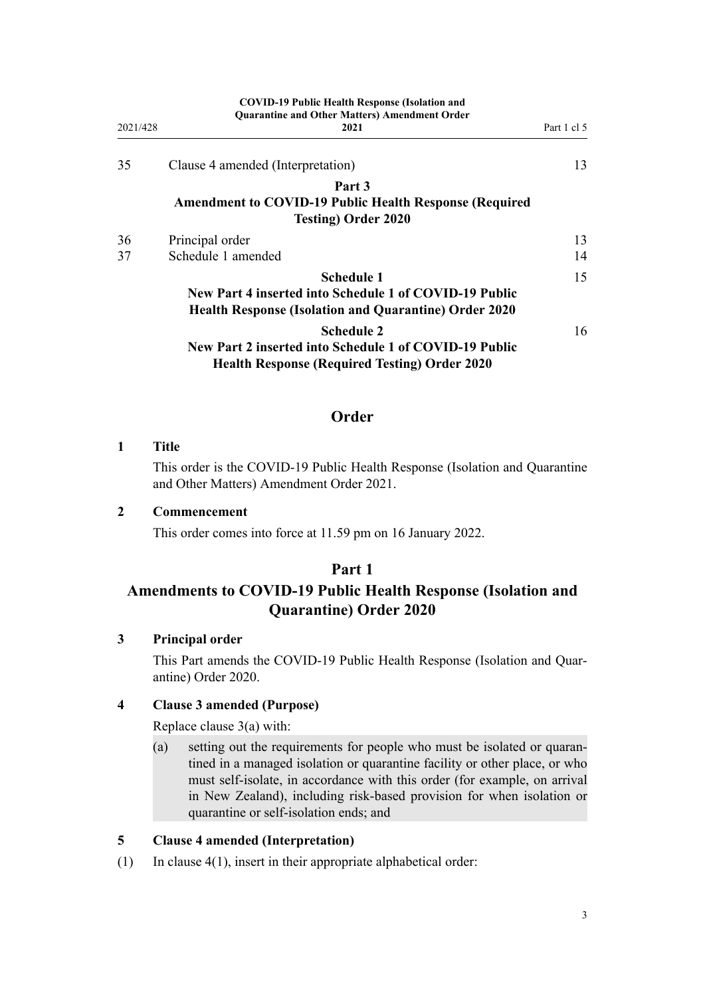<span id="page-2-0"></span>

| 2021/428 | <b>COVID-19 Public Health Response (Isolation and</b><br><b>Quarantine and Other Matters) Amendment Order</b><br>2021                       | Part 1 cl 5 |
|----------|---------------------------------------------------------------------------------------------------------------------------------------------|-------------|
| 35       | Clause 4 amended (Interpretation)                                                                                                           | 13          |
|          | Part 3<br><b>Amendment to COVID-19 Public Health Response (Required</b><br><b>Testing) Order 2020</b>                                       |             |
|          |                                                                                                                                             |             |
| 36<br>37 | Principal order<br>Schedule 1 amended                                                                                                       | 13<br>14    |
|          | <b>Schedule 1</b><br>New Part 4 inserted into Schedule 1 of COVID-19 Public<br><b>Health Response (Isolation and Quarantine) Order 2020</b> | 15          |
|          | <b>Schedule 2</b><br>New Part 2 inserted into Schedule 1 of COVID-19 Public<br><b>Health Response (Required Testing) Order 2020</b>         | 16          |

## **Order**

## **1 Title**

This order is the COVID-19 Public Health Response (Isolation and Quarantine and Other Matters) Amendment Order 2021.

## **2 Commencement**

This order comes into force at 11.59 pm on 16 January 2022.

## **Part 1**

## **Amendments to COVID-19 Public Health Response (Isolation and Quarantine) Order 2020**

## **3 Principal order**

This Part amends the [COVID-19 Public Health Response \(Isolation and Quar‐](http://legislation.govt.nz/pdflink.aspx?id=LMS401666) [antine\) Order 2020.](http://legislation.govt.nz/pdflink.aspx?id=LMS401666)

## **4 Clause 3 amended (Purpose)**

Replace [clause 3\(a\)](http://legislation.govt.nz/pdflink.aspx?id=LMS401672) with:

(a) setting out the requirements for people who must be isolated or quaran‐ tined in a managed isolation or quarantine facility or other place, or who must self-isolate, in accordance with this order (for example, on arrival in New Zealand), including risk-based provision for when isolation or quarantine or self-isolation ends; and

## **5 Clause 4 amended (Interpretation)**

(1) In [clause 4\(1\)](http://legislation.govt.nz/pdflink.aspx?id=LMS401701), insert in their appropriate alphabetical order: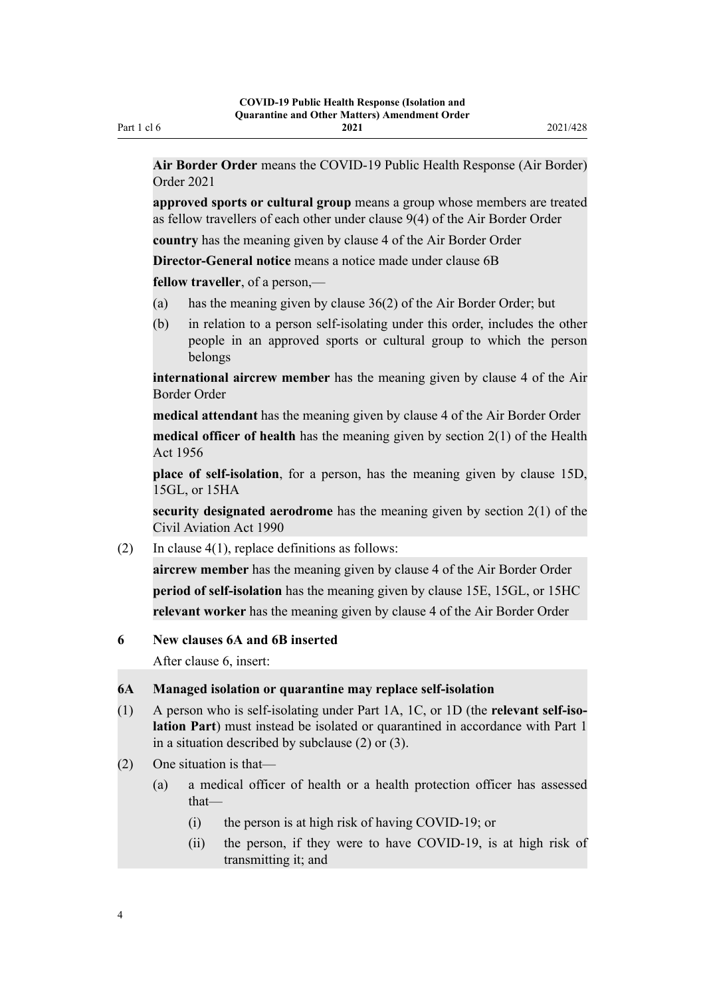<span id="page-3-0"></span>**Air Border Order** means the COVID-19 Public Health Response (Air Border) Order 2021

**approved sports or cultural group** means a group whose members are treated as fellow travellers of each other under clause 9(4) of the Air Border Order

**country** has the meaning given by clause 4 of the Air Border Order

**Director-General notice** means a notice made under clause 6B

**fellow traveller**, of a person.—

- (a) has the meaning given by clause 36(2) of the Air Border Order; but
- (b) in relation to a person self-isolating under this order, includes the other people in an approved sports or cultural group to which the person belongs

**international aircrew member** has the meaning given by clause 4 of the Air Border Order

**medical attendant** has the meaning given by clause 4 of the Air Border Order

**medical officer of health** has the meaning given by section 2(1) of the Health Act 1956

**place of self-isolation**, for a person, has the meaning given by clause 15D, 15GL, or 15HA

**security designated aerodrome** has the meaning given by section 2(1) of the Civil Aviation Act 1990

(2) In clause  $4(1)$ , replace definitions as follows:

**aircrew member** has the meaning given by clause 4 of the Air Border Order **period of self-isolation** has the meaning given by clause 15E, 15GL, or 15HC **relevant worker** has the meaning given by clause 4 of the Air Border Order

#### **6 New clauses 6A and 6B inserted**

After [clause 6,](http://legislation.govt.nz/pdflink.aspx?id=LMS401703) insert:

#### **6A Managed isolation or quarantine may replace self-isolation**

- (1) A person who is self-isolating under Part 1A, 1C, or 1D (the **relevant self-iso‐ lation Part**) must instead be isolated or quarantined in accordance with Part 1 in a situation described by subclause (2) or (3).
- (2) One situation is that—
	- (a) a medical officer of health or a health protection officer has assessed that—
		- (i) the person is at high risk of having COVID-19; or
		- (ii) the person, if they were to have COVID-19, is at high risk of transmitting it; and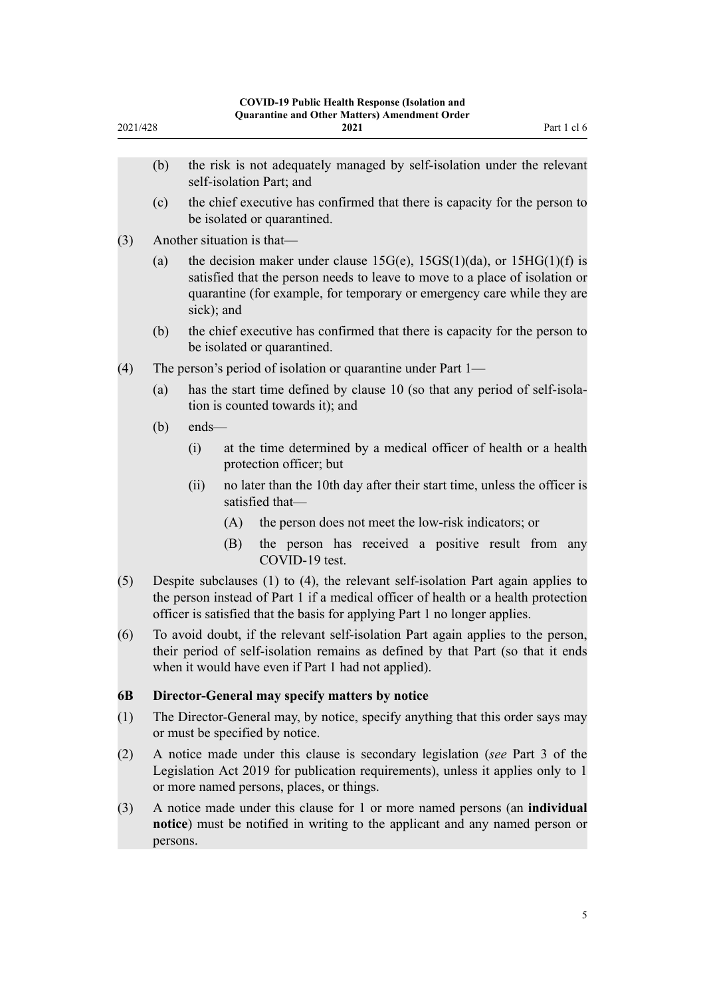<span id="page-4-0"></span>

| (b)                                                                                                                                                                                                                                                  | the risk is not adequately managed by self-isolation under the relevant                                                                                                                                                                               |  |
|------------------------------------------------------------------------------------------------------------------------------------------------------------------------------------------------------------------------------------------------------|-------------------------------------------------------------------------------------------------------------------------------------------------------------------------------------------------------------------------------------------------------|--|
|                                                                                                                                                                                                                                                      |                                                                                                                                                                                                                                                       |  |
|                                                                                                                                                                                                                                                      | self-isolation Part; and                                                                                                                                                                                                                              |  |
| (c)                                                                                                                                                                                                                                                  | the chief executive has confirmed that there is capacity for the person to<br>be isolated or quarantined.                                                                                                                                             |  |
|                                                                                                                                                                                                                                                      | Another situation is that-                                                                                                                                                                                                                            |  |
| (a)                                                                                                                                                                                                                                                  | the decision maker under clause $15G(e)$ , $15GS(1)(da)$ , or $15HG(1)(f)$ is<br>satisfied that the person needs to leave to move to a place of isolation or<br>quarantine (for example, for temporary or emergency care while they are<br>sick); and |  |
| (b)                                                                                                                                                                                                                                                  | the chief executive has confirmed that there is capacity for the person to<br>be isolated or quarantined.                                                                                                                                             |  |
|                                                                                                                                                                                                                                                      | The person's period of isolation or quarantine under Part 1—                                                                                                                                                                                          |  |
| (a)                                                                                                                                                                                                                                                  | has the start time defined by clause 10 (so that any period of self-isola-<br>tion is counted towards it); and                                                                                                                                        |  |
| (b)                                                                                                                                                                                                                                                  | ends-                                                                                                                                                                                                                                                 |  |
|                                                                                                                                                                                                                                                      | at the time determined by a medical officer of health or a health<br>(i)<br>protection officer; but                                                                                                                                                   |  |
|                                                                                                                                                                                                                                                      | (ii)<br>no later than the 10th day after their start time, unless the officer is<br>satisfied that-                                                                                                                                                   |  |
|                                                                                                                                                                                                                                                      | the person does not meet the low-risk indicators; or<br>(A)                                                                                                                                                                                           |  |
|                                                                                                                                                                                                                                                      | the person has received a positive result from any<br>(B)<br>COVID-19 test.                                                                                                                                                                           |  |
| Despite subclauses (1) to (4), the relevant self-isolation Part again applies to<br>the person instead of Part 1 if a medical officer of health or a health protection<br>officer is satisfied that the basis for applying Part 1 no longer applies. |                                                                                                                                                                                                                                                       |  |
| To avoid doubt, if the relevant self-isolation Part again applies to the person,<br>their period of self-isolation remains as defined by that Part (so that it ends<br>when it would have even if Part 1 had not applied).                           |                                                                                                                                                                                                                                                       |  |
|                                                                                                                                                                                                                                                      | Director-General may specify matters by notice                                                                                                                                                                                                        |  |
| The Director-General may, by notice, specify anything that this order says may<br>or must be specified by notice.                                                                                                                                    |                                                                                                                                                                                                                                                       |  |
| A notice made under this clause is secondary legislation (see Part 3 of the<br>Legislation Act 2019 for publication requirements), unless it applies only to 1<br>or more named persons, places, or things.                                          |                                                                                                                                                                                                                                                       |  |
| persons.                                                                                                                                                                                                                                             | A notice made under this clause for 1 or more named persons (an individual<br>notice) must be notified in writing to the applicant and any named person or                                                                                            |  |
|                                                                                                                                                                                                                                                      |                                                                                                                                                                                                                                                       |  |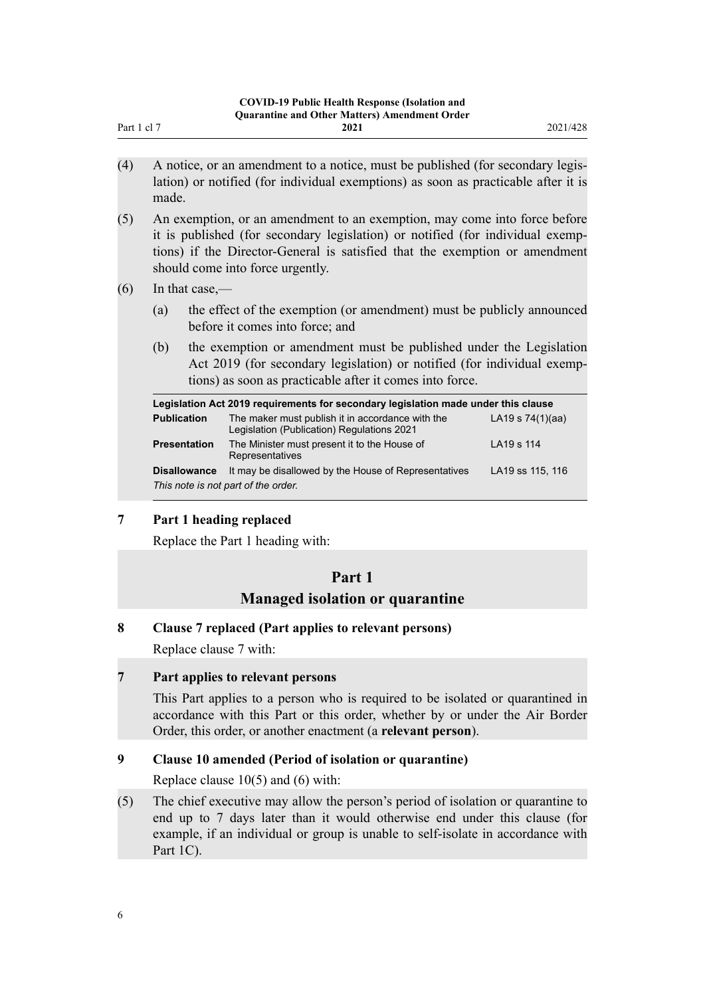- <span id="page-5-0"></span>(4) A notice, or an amendment to a notice, must be published (for secondary legis‐ lation) or notified (for individual exemptions) as soon as practicable after it is made.
- (5) An exemption, or an amendment to an exemption, may come into force before it is published (for secondary legislation) or notified (for individual exemp‐ tions) if the Director-General is satisfied that the exemption or amendment should come into force urgently.
- $(6)$  In that case,—
	- (a) the effect of the exemption (or amendment) must be publicly announced before it comes into force; and
	- (b) the exemption or amendment must be published under the Legislation Act 2019 (for secondary legislation) or notified (for individual exemp‐ tions) as soon as practicable after it comes into force.

| Legislation Act 2019 requirements for secondary legislation made under this clause |                                                                                                |                    |  |
|------------------------------------------------------------------------------------|------------------------------------------------------------------------------------------------|--------------------|--|
| <b>Publication</b>                                                                 | The maker must publish it in accordance with the<br>Legislation (Publication) Regulations 2021 | LA19 s $74(1)(aa)$ |  |
| <b>Presentation</b>                                                                | The Minister must present it to the House of<br>Representatives                                | LA19 s 114         |  |
| <b>Disallowance</b>                                                                | It may be disallowed by the House of Representatives                                           | LA19 ss 115, 116   |  |
| This note is not part of the order.                                                |                                                                                                |                    |  |

## **7 Part 1 heading replaced**

Replace the [Part 1](http://legislation.govt.nz/pdflink.aspx?id=LMS401726) heading with:

## **Part 1**

## **Managed isolation or quarantine**

## **8 Clause 7 replaced (Part applies to relevant persons)**

Replace [clause 7](http://legislation.govt.nz/pdflink.aspx?id=LMS401705) with:

## **7 Part applies to relevant persons**

This Part applies to a person who is required to be isolated or quarantined in accordance with this Part or this order, whether by or under the Air Border Order, this order, or another enactment (a **relevant person**).

## **9 Clause 10 amended (Period of isolation or quarantine)**

Replace [clause 10\(5\) and \(6\)](http://legislation.govt.nz/pdflink.aspx?id=LMS401711) with:

(5) The chief executive may allow the person's period of isolation or quarantine to end up to 7 days later than it would otherwise end under this clause (for example, if an individual or group is unable to self-isolate in accordance with Part 1C).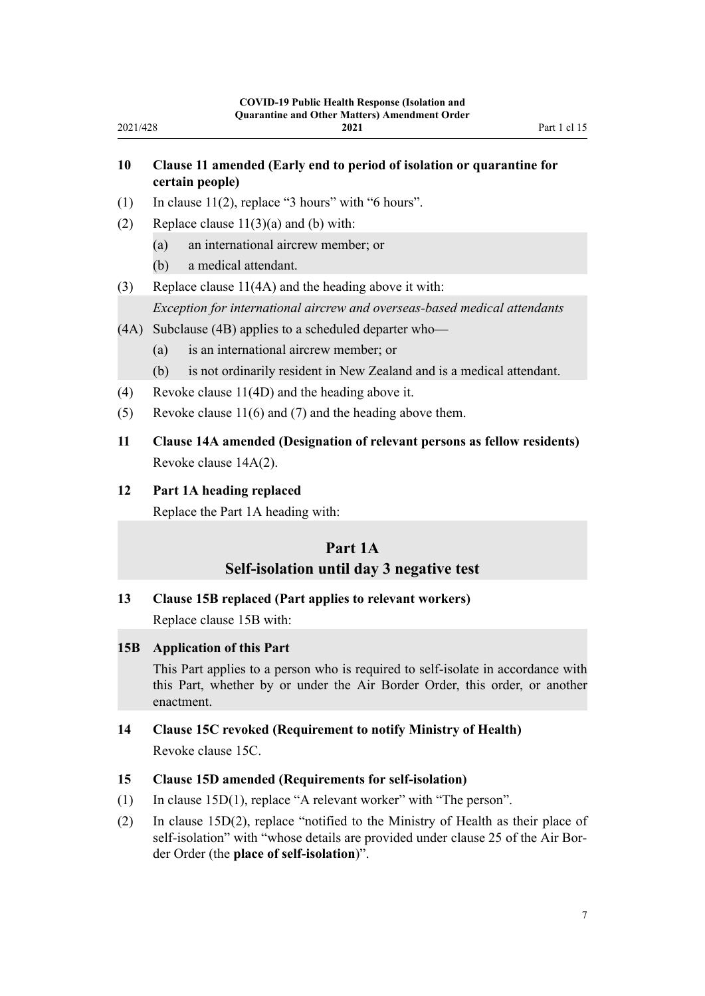## **10 Clause 11 amended (Early end to period of isolation or quarantine for certain people)**

- (1) In clause  $11(2)$ , replace "3 hours" with "6 hours".
- (2) Replace clause  $11(3)(a)$  and (b) with:
	- (a) an international aircrew member; or
	- (b) a medical attendant.

<span id="page-6-0"></span>2021/428

(3) Replace [clause 11\(4A\)](http://legislation.govt.nz/pdflink.aspx?id=LMS401717) and the heading above it with:

*Exception for international aircrew and overseas-based medical attendants*

- (4A) Subclause (4B) applies to a scheduled departer who—
	- (a) is an international aircrew member; or
	- (b) is not ordinarily resident in New Zealand and is a medical attendant.
- (4) Revoke [clause 11\(4D\)](http://legislation.govt.nz/pdflink.aspx?id=LMS401717) and the heading above it.
- (5) Revoke [clause 11\(6\) and \(7\)](http://legislation.govt.nz/pdflink.aspx?id=LMS401717) and the heading above them.
- **11 Clause 14A amended (Designation of relevant persons as fellow residents)** Revoke [clause 14A\(2\)](http://legislation.govt.nz/pdflink.aspx?id=LMS415251).

### **12 Part 1A heading replaced**

Replace the [Part 1A](http://legislation.govt.nz/pdflink.aspx?id=LMS415267) heading with:

## **Part 1A Self-isolation until day 3 negative test**

#### **13 Clause 15B replaced (Part applies to relevant workers)**

Replace [clause 15B](http://legislation.govt.nz/pdflink.aspx?id=LMS415259) with:

#### **15B Application of this Part**

This Part applies to a person who is required to self-isolate in accordance with this Part, whether by or under the Air Border Order, this order, or another enactment.

## **14 Clause 15C revoked (Requirement to notify Ministry of Health)** Revoke [clause 15C.](http://legislation.govt.nz/pdflink.aspx?id=LMS415261)

### **15 Clause 15D amended (Requirements for self-isolation)**

- (1) In [clause 15D\(1\)](http://legislation.govt.nz/pdflink.aspx?id=LMS415262), replace "A relevant worker" with "The person".
- (2) In [clause 15D\(2\),](http://legislation.govt.nz/pdflink.aspx?id=LMS415262) replace "notified to the Ministry of Health as their place of self-isolation" with "whose details are provided under clause 25 of the Air Border Order (the **place of self-isolation**)".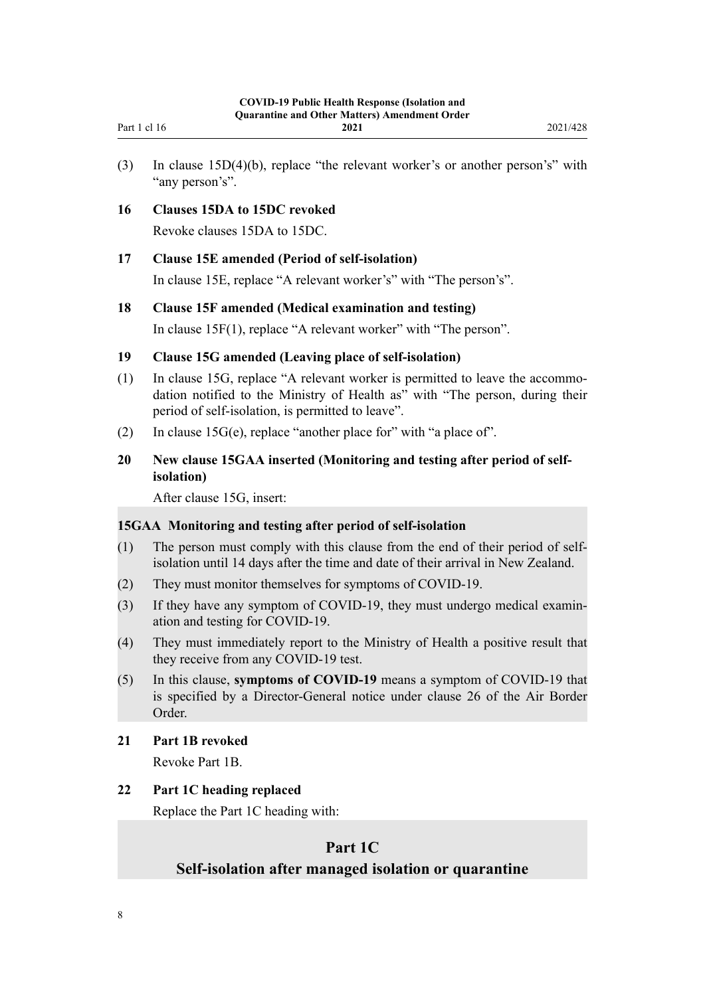<span id="page-7-0"></span>

| Part 1 cl 16 | 2021 | 2021/428 |
|--------------|------|----------|
|              |      |          |

(3) In [clause 15D\(4\)\(b\)](http://legislation.govt.nz/pdflink.aspx?id=LMS415262), replace "the relevant worker's or another person's" with "any person's".

### **16 Clauses 15DA to 15DC revoked**

Revoke [clauses 15DA to 15DC.](http://legislation.govt.nz/pdflink.aspx?id=LMS439201)

### **17 Clause 15E amended (Period of self-isolation)**

In [clause 15E,](http://legislation.govt.nz/pdflink.aspx?id=LMS415264) replace "A relevant worker's" with "The person's".

### **18 Clause 15F amended (Medical examination and testing)**

In [clause 15F\(1\),](http://legislation.govt.nz/pdflink.aspx?id=LMS415265) replace "A relevant worker" with "The person".

## **19 Clause 15G amended (Leaving place of self-isolation)**

- (1) In [clause 15G](http://legislation.govt.nz/pdflink.aspx?id=LMS415266), replace "A relevant worker is permitted to leave the accommo‐ dation notified to the Ministry of Health as" with "The person, during their period of self-isolation, is permitted to leave".
- (2) In clause  $15G(e)$ , replace "another place for" with "a place of".

## **20 New clause 15GAA inserted (Monitoring and testing after period of selfisolation)**

After [clause 15G,](http://legislation.govt.nz/pdflink.aspx?id=LMS415266) insert:

### **15GAA Monitoring and testing after period of self-isolation**

- (1) The person must comply with this clause from the end of their period of selfisolation until 14 days after the time and date of their arrival in New Zealand.
- (2) They must monitor themselves for symptoms of COVID-19.
- (3) If they have any symptom of COVID-19, they must undergo medical examin‐ ation and testing for COVID-19.
- (4) They must immediately report to the Ministry of Health a positive result that they receive from any COVID-19 test.
- (5) In this clause, **symptoms of COVID-19** means a symptom of COVID-19 that is specified by a Director-General notice under clause 26 of the Air Border Order.

### **21 Part 1B revoked**

Revoke [Part 1B](http://legislation.govt.nz/pdflink.aspx?id=LMS585055).

## **22 Part 1C heading replaced**

Replace the [Part 1C](http://legislation.govt.nz/pdflink.aspx?id=LMS596648) heading with:

## **Part 1C Self-isolation after managed isolation or quarantine**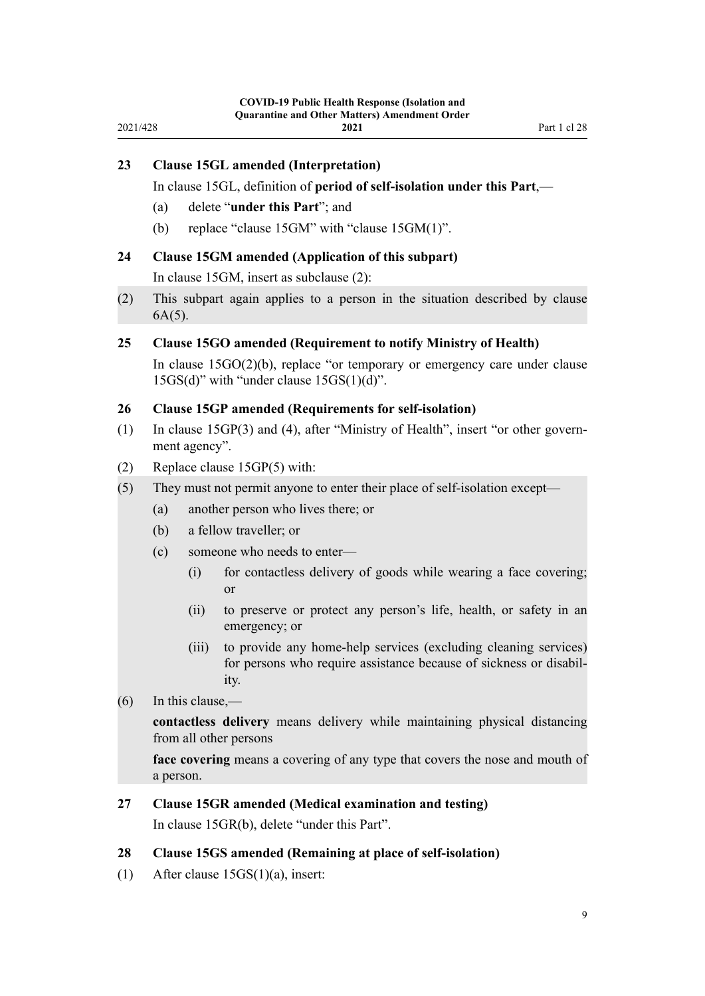<span id="page-8-0"></span>

| 2021/428 |                                                                                                     |                  | -17 1 июне пеанти гезронзе (тэоланон апс<br><b>Quarantine and Other Matters) Amendment Order</b><br>2021                                                 | Part 1 cl 28 |
|----------|-----------------------------------------------------------------------------------------------------|------------------|----------------------------------------------------------------------------------------------------------------------------------------------------------|--------------|
| 23       | (a)                                                                                                 |                  | <b>Clause 15GL amended (Interpretation)</b><br>In clause 15GL, definition of period of self-isolation under this Part,-<br>delete "under this Part"; and |              |
|          | (b)                                                                                                 |                  | replace "clause 15GM" with "clause 15GM(1)".                                                                                                             |              |
| 24       |                                                                                                     |                  | Clause 15GM amended (Application of this subpart)                                                                                                        |              |
|          |                                                                                                     |                  | In clause 15GM, insert as subclause (2):                                                                                                                 |              |
| (2)      | This subpart again applies to a person in the situation described by clause<br>$6A(5)$ .            |                  |                                                                                                                                                          |              |
| 25       |                                                                                                     |                  | <b>Clause 15GO amended (Requirement to notify Ministry of Health)</b>                                                                                    |              |
|          |                                                                                                     |                  | In clause $15GO(2)(b)$ , replace "or temporary or emergency care under clause<br>$15GS(d)$ " with "under clause $15GS(1)(d)$ ".                          |              |
| 26       |                                                                                                     |                  | <b>Clause 15GP</b> amended (Requirements for self-isolation)                                                                                             |              |
| (1)      |                                                                                                     | ment agency".    | In clause 15GP(3) and (4), after "Ministry of Health", insert "or other govern-                                                                          |              |
| (2)      |                                                                                                     |                  | Replace clause 15GP(5) with:                                                                                                                             |              |
| (5)      |                                                                                                     |                  | They must not permit anyone to enter their place of self-isolation except-                                                                               |              |
|          | (a)                                                                                                 |                  | another person who lives there; or                                                                                                                       |              |
|          | a fellow traveller; or<br>(b)                                                                       |                  |                                                                                                                                                          |              |
|          | (c)                                                                                                 |                  | someone who needs to enter-                                                                                                                              |              |
|          |                                                                                                     | (i)              | for contactless delivery of goods while wearing a face covering;<br>or                                                                                   |              |
|          |                                                                                                     | (ii)             | to preserve or protect any person's life, health, or safety in an<br>emergency; or                                                                       |              |
|          |                                                                                                     | (iii)            | to provide any home-help services (excluding cleaning services)<br>for persons who require assistance because of sickness or disabil-<br>ity.            |              |
| (6)      |                                                                                                     | In this clause,— |                                                                                                                                                          |              |
|          | contactless delivery means delivery while maintaining physical distancing<br>from all other persons |                  |                                                                                                                                                          |              |
|          | face covering means a covering of any type that covers the nose and mouth of<br>a person.           |                  |                                                                                                                                                          |              |
| 27       |                                                                                                     |                  | <b>Clause 15GR amended (Medical examination and testing)</b>                                                                                             |              |
|          |                                                                                                     |                  | In clause 15GR(b), delete "under this Part".                                                                                                             |              |
| 28       |                                                                                                     |                  | <b>Clause 15GS amended (Remaining at place of self-isolation)</b>                                                                                        |              |

(1) After [clause 15GS\(1\)\(a\)](http://legislation.govt.nz/pdflink.aspx?id=LMS596643), insert: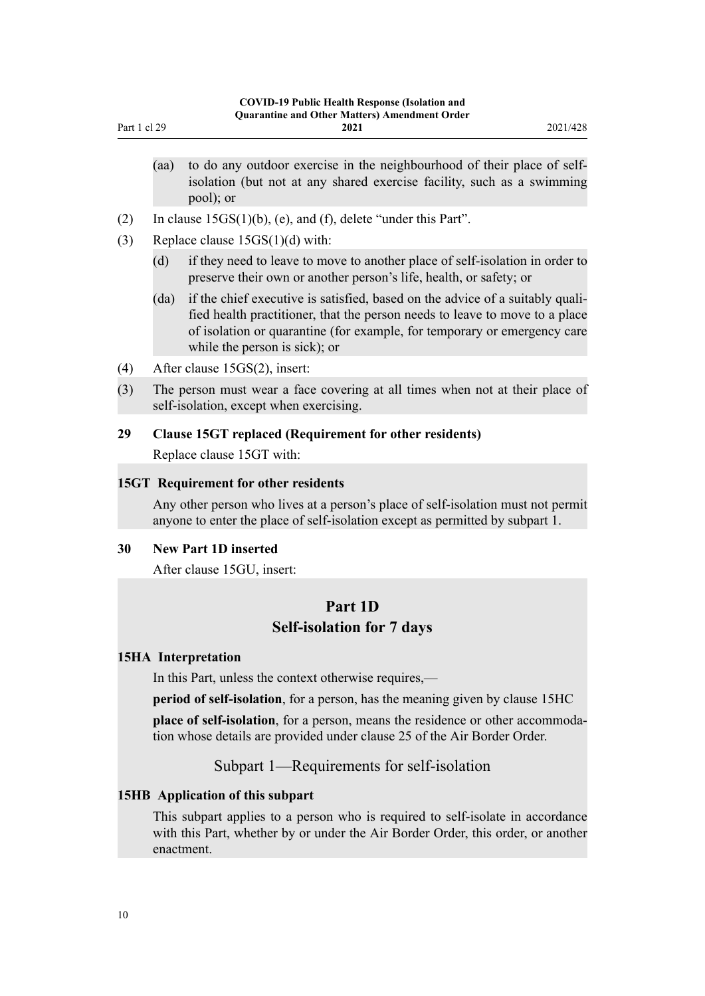- (aa) to do any outdoor exercise in the neighbourhood of their place of selfisolation (but not at any shared exercise facility, such as a swimming pool); or
- (2) In [clause 15GS\(1\)\(b\), \(e\), and \(f\),](http://legislation.govt.nz/pdflink.aspx?id=LMS596643) delete "under this Part".
- (3) Replace clause  $15GS(1)(d)$  with:

<span id="page-9-0"></span>Part 1 cl 29

- (d) if they need to leave to move to another place of self-isolation in order to preserve their own or another person's life, health, or safety; or
- (da) if the chief executive is satisfied, based on the advice of a suitably qualified health practitioner, that the person needs to leave to move to a place of isolation or quarantine (for example, for temporary or emergency care while the person is sick); or
- (4) After [clause 15GS\(2\),](http://legislation.govt.nz/pdflink.aspx?id=LMS596643) insert:
- (3) The person must wear a face covering at all times when not at their place of self-isolation, except when exercising.

## **29 Clause 15GT replaced (Requirement for other residents)**

Replace [clause 15GT](http://legislation.govt.nz/pdflink.aspx?id=LMS596645) with:

#### **15GT Requirement for other residents**

Any other person who lives at a person's place of self-isolation must not permit anyone to enter the place of self-isolation except as permitted by subpart 1.

### **30 New Part 1D inserted**

After [clause 15GU](http://legislation.govt.nz/pdflink.aspx?id=LMS596646), insert:

## **Part 1D Self-isolation for 7 days**

#### **15HA Interpretation**

In this Part, unless the context otherwise requires,—

**period of self-isolation**, for a person, has the meaning given by clause 15HC

**place of self-isolation**, for a person, means the residence or other accommodation whose details are provided under clause 25 of the Air Border Order.

Subpart 1—Requirements for self-isolation

### **15HB Application of this subpart**

This subpart applies to a person who is required to self-isolate in accordance with this Part, whether by or under the Air Border Order, this order, or another enactment.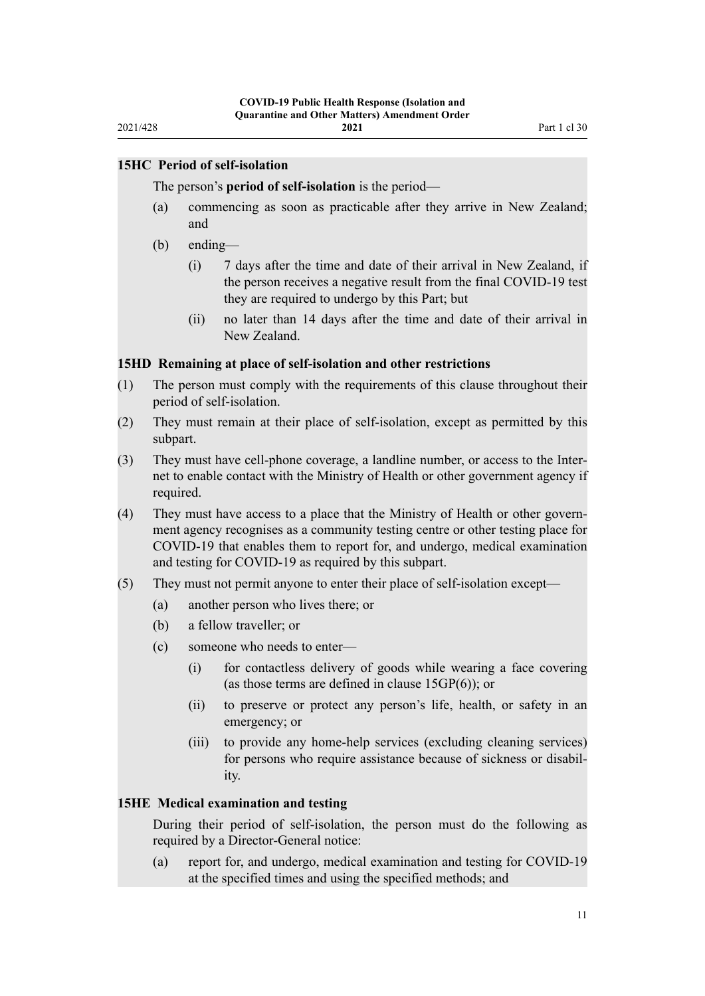## <span id="page-10-0"></span>**15HC Period of self-isolation**

The person's **period of self-isolation** is the period—

- (a) commencing as soon as practicable after they arrive in New Zealand; and
- (b) ending—
	- (i) 7 days after the time and date of their arrival in New Zealand, if the person receives a negative result from the final COVID-19 test they are required to undergo by this Part; but
	- (ii) no later than 14 days after the time and date of their arrival in New Zealand.

#### **15HD Remaining at place of self-isolation and other restrictions**

- (1) The person must comply with the requirements of this clause throughout their period of self-isolation.
- (2) They must remain at their place of self-isolation, except as permitted by this subpart.
- (3) They must have cell-phone coverage, a landline number, or access to the Inter‐ net to enable contact with the Ministry of Health or other government agency if required.
- (4) They must have access to a place that the Ministry of Health or other govern‐ ment agency recognises as a community testing centre or other testing place for COVID-19 that enables them to report for, and undergo, medical examination and testing for COVID-19 as required by this subpart.
- (5) They must not permit anyone to enter their place of self-isolation except—
	- (a) another person who lives there; or
	- (b) a fellow traveller; or
	- (c) someone who needs to enter—
		- (i) for contactless delivery of goods while wearing a face covering (as those terms are defined in clause 15GP(6)); or
		- (ii) to preserve or protect any person's life, health, or safety in an emergency; or
		- (iii) to provide any home-help services (excluding cleaning services) for persons who require assistance because of sickness or disability.

#### **15HE Medical examination and testing**

During their period of self-isolation, the person must do the following as required by a Director-General notice:

(a) report for, and undergo, medical examination and testing for COVID-19 at the specified times and using the specified methods; and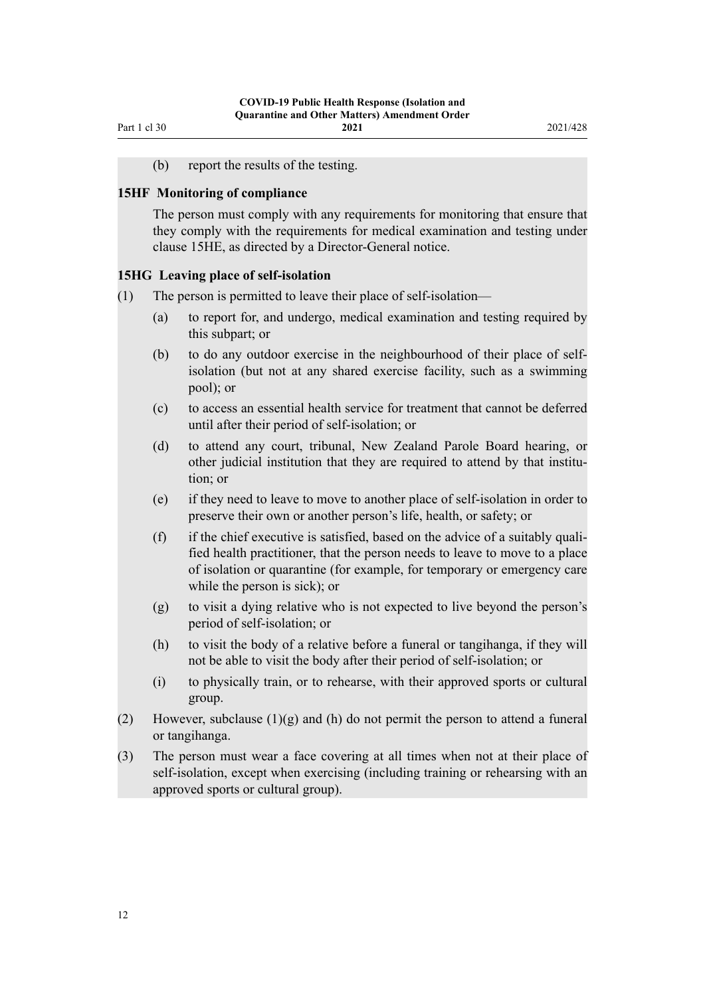(b) report the results of the testing.

#### <span id="page-11-0"></span>**15HF Monitoring of compliance**

The person must comply with any requirements for monitoring that ensure that they comply with the requirements for medical examination and testing under clause 15HE, as directed by a Director-General notice.

#### **15HG Leaving place of self-isolation**

- (1) The person is permitted to leave their place of self-isolation—
	- (a) to report for, and undergo, medical examination and testing required by this subpart; or
	- (b) to do any outdoor exercise in the neighbourhood of their place of selfisolation (but not at any shared exercise facility, such as a swimming pool); or
	- (c) to access an essential health service for treatment that cannot be deferred until after their period of self-isolation; or
	- (d) to attend any court, tribunal, New Zealand Parole Board hearing, or other judicial institution that they are required to attend by that institution; or
	- (e) if they need to leave to move to another place of self-isolation in order to preserve their own or another person's life, health, or safety; or
	- $(f)$  if the chief executive is satisfied, based on the advice of a suitably qualified health practitioner, that the person needs to leave to move to a place of isolation or quarantine (for example, for temporary or emergency care while the person is sick); or
	- (g) to visit a dying relative who is not expected to live beyond the person's period of self-isolation; or
	- (h) to visit the body of a relative before a funeral or tangihanga, if they will not be able to visit the body after their period of self-isolation; or
	- (i) to physically train, or to rehearse, with their approved sports or cultural group.
- (2) However, subclause  $(1)(g)$  and  $(h)$  do not permit the person to attend a funeral or tangihanga.
- (3) The person must wear a face covering at all times when not at their place of self-isolation, except when exercising (including training or rehearsing with an approved sports or cultural group).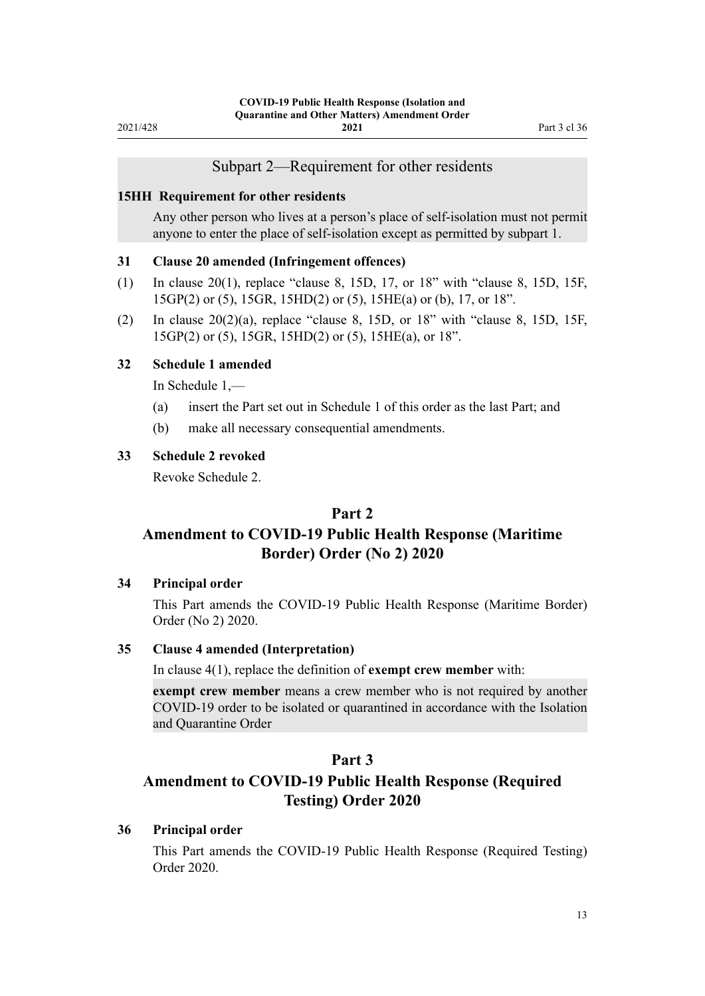### Subpart 2—Requirement for other residents

#### <span id="page-12-0"></span>**15HH Requirement for other residents**

Any other person who lives at a person's place of self-isolation must not permit anyone to enter the place of self-isolation except as permitted by subpart 1.

#### **31 Clause 20 amended (Infringement offences)**

- (1) In [clause 20\(1\)](http://legislation.govt.nz/pdflink.aspx?id=LMS612968), replace "clause 8, 15D, 17, or 18" with "clause 8, 15D, 15F, 15GP(2) or (5), 15GR, 15HD(2) or (5), 15HE(a) or (b), 17, or 18".
- (2) In clause  $20(2)(a)$ , replace "clause 8, 15D, or 18" with "clause 8, 15D, 15F, 15GP(2) or (5), 15GR, 15HD(2) or (5), 15HE(a), or 18".

### **32 Schedule 1 amended**

In [Schedule 1](http://legislation.govt.nz/pdflink.aspx?id=LMS401747),—

- (a) insert the Part set out in [Schedule 1](#page-14-0) of this order as the last Part; and
- (b) make all necessary consequential amendments.

#### **33 Schedule 2 revoked**

Revoke [Schedule 2](http://legislation.govt.nz/pdflink.aspx?id=LMS439246).

## **Part 2**

## **Amendment to COVID-19 Public Health Response (Maritime Border) Order (No 2) 2020**

### **34 Principal order**

This Part amends the [COVID-19 Public Health Response \(Maritime Border\)](http://legislation.govt.nz/pdflink.aspx?id=LMS403465) [Order \(No 2\) 2020](http://legislation.govt.nz/pdflink.aspx?id=LMS403465).

### **35 Clause 4 amended (Interpretation)**

In [clause 4\(1\)](http://legislation.govt.nz/pdflink.aspx?id=LMS403543), replace the definition of **exempt crew member** with:

**exempt crew member** means a crew member who is not required by another COVID-19 order to be isolated or quarantined in accordance with the Isolation and Quarantine Order

## **Part 3**

## **Amendment to COVID-19 Public Health Response (Required Testing) Order 2020**

#### **36 Principal order**

This Part amends the [COVID-19 Public Health Response \(Required Testing\)](http://legislation.govt.nz/pdflink.aspx?id=LMS400301) [Order 2020.](http://legislation.govt.nz/pdflink.aspx?id=LMS400301)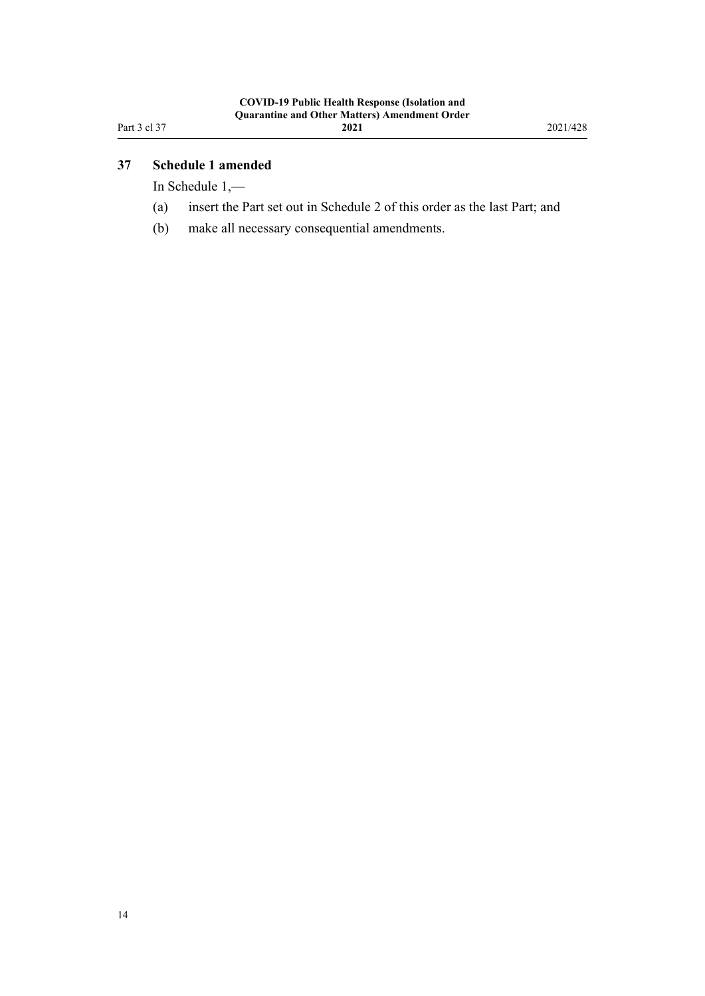## <span id="page-13-0"></span>**37 Schedule 1 amended**

In [Schedule 1](http://legislation.govt.nz/pdflink.aspx?id=LMS400351),—

- (a) insert the Part set out in [Schedule 2](#page-15-0) of this order as the last Part; and
- (b) make all necessary consequential amendments.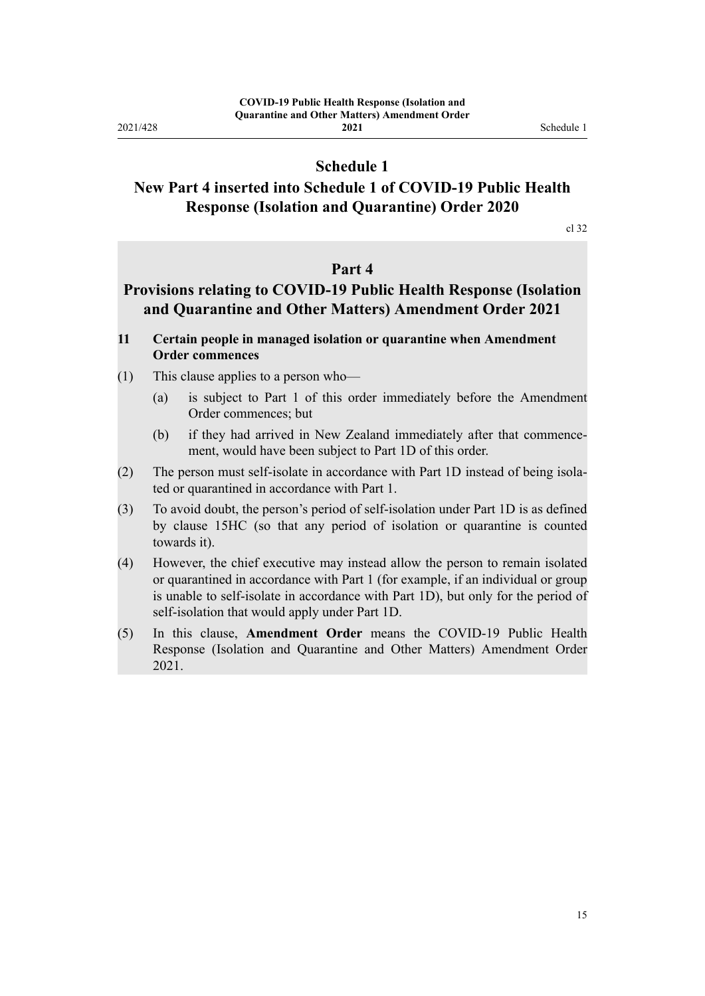<span id="page-14-0"></span>2021/428

## **Schedule 1**

## **New Part 4 inserted into Schedule 1 of COVID-19 Public Health Response (Isolation and Quarantine) Order 2020**

[cl 32](#page-12-0)

## **Part 4**

## **Provisions relating to COVID-19 Public Health Response (Isolation and Quarantine and Other Matters) Amendment Order 2021**

- **11 Certain people in managed isolation or quarantine when Amendment Order commences**
- (1) This clause applies to a person who—
	- (a) is subject to Part 1 of this order immediately before the Amendment Order commences; but
	- (b) if they had arrived in New Zealand immediately after that commencement, would have been subject to Part 1D of this order.
- (2) The person must self-isolate in accordance with Part 1D instead of being isola‐ ted or quarantined in accordance with Part 1.
- (3) To avoid doubt, the person's period of self-isolation under Part 1D is as defined by clause 15HC (so that any period of isolation or quarantine is counted towards it).
- (4) However, the chief executive may instead allow the person to remain isolated or quarantined in accordance with Part 1 (for example, if an individual or group is unable to self-isolate in accordance with Part 1D), but only for the period of self-isolation that would apply under Part 1D.
- (5) In this clause, **Amendment Order** means the COVID-19 Public Health Response (Isolation and Quarantine and Other Matters) Amendment Order 2021.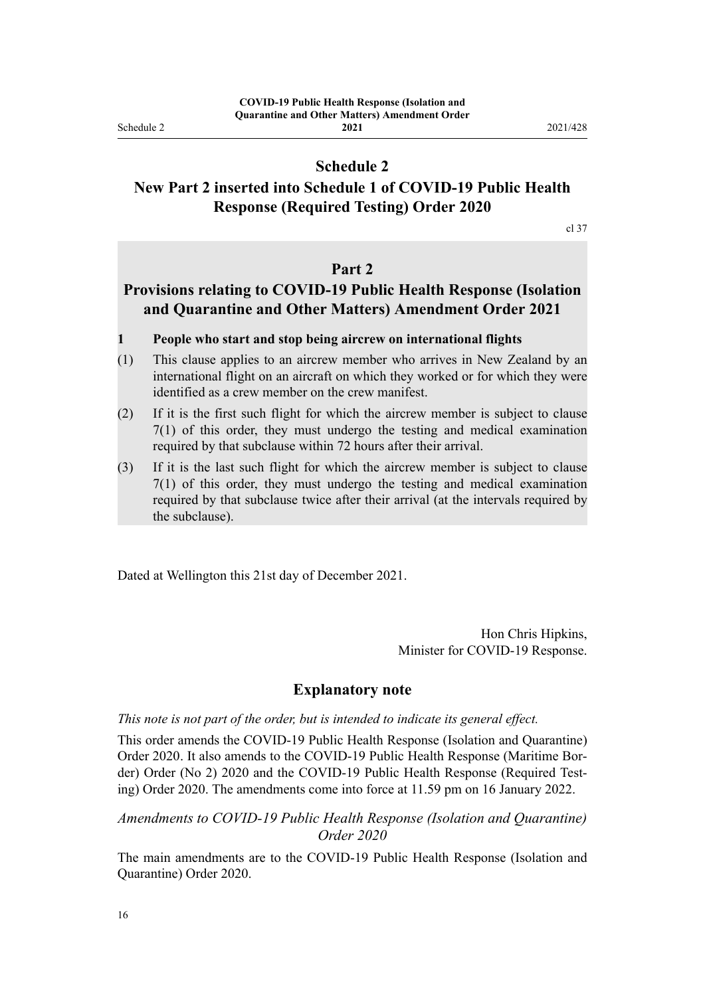<span id="page-15-0"></span>Schedule 2

## **Schedule 2**

## **New Part 2 inserted into Schedule 1 of COVID-19 Public Health Response (Required Testing) Order 2020**

[cl 37](#page-13-0)

## **Part 2**

## **Provisions relating to COVID-19 Public Health Response (Isolation and Quarantine and Other Matters) Amendment Order 2021**

#### **1 People who start and stop being aircrew on international flights**

- (1) This clause applies to an aircrew member who arrives in New Zealand by an international flight on an aircraft on which they worked or for which they were identified as a crew member on the crew manifest.
- (2) If it is the first such flight for which the aircrew member is subject to clause 7(1) of this order, they must undergo the testing and medical examination required by that subclause within 72 hours after their arrival.
- (3) If it is the last such flight for which the aircrew member is subject to clause 7(1) of this order, they must undergo the testing and medical examination required by that subclause twice after their arrival (at the intervals required by the subclause).

Dated at Wellington this 21st day of December 2021.

Hon Chris Hipkins, Minister for COVID-19 Response.

### **Explanatory note**

#### *This note is not part of the order, but is intended to indicate its general effect.*

This order amends the [COVID-19 Public Health Response \(Isolation and Quarantine\)](http://legislation.govt.nz/pdflink.aspx?id=LMS401666) [Order 2020](http://legislation.govt.nz/pdflink.aspx?id=LMS401666). It also amends to the [COVID-19 Public Health Response \(Maritime Bor‐](http://legislation.govt.nz/pdflink.aspx?id=LMS403465) [der\) Order \(No 2\) 2020](http://legislation.govt.nz/pdflink.aspx?id=LMS403465) and the COVID-19 Public Health Response (Required Test[ing\) Order 2020](http://legislation.govt.nz/pdflink.aspx?id=LMS400301). The amendments come into force at 11.59 pm on 16 January 2022.

### *Amendments to COVID-19 Public Health Response (Isolation and Quarantine) Order 2020*

The main amendments are to the [COVID-19 Public Health Response \(Isolation and](http://legislation.govt.nz/pdflink.aspx?id=LMS401666) [Quarantine\) Order 2020.](http://legislation.govt.nz/pdflink.aspx?id=LMS401666)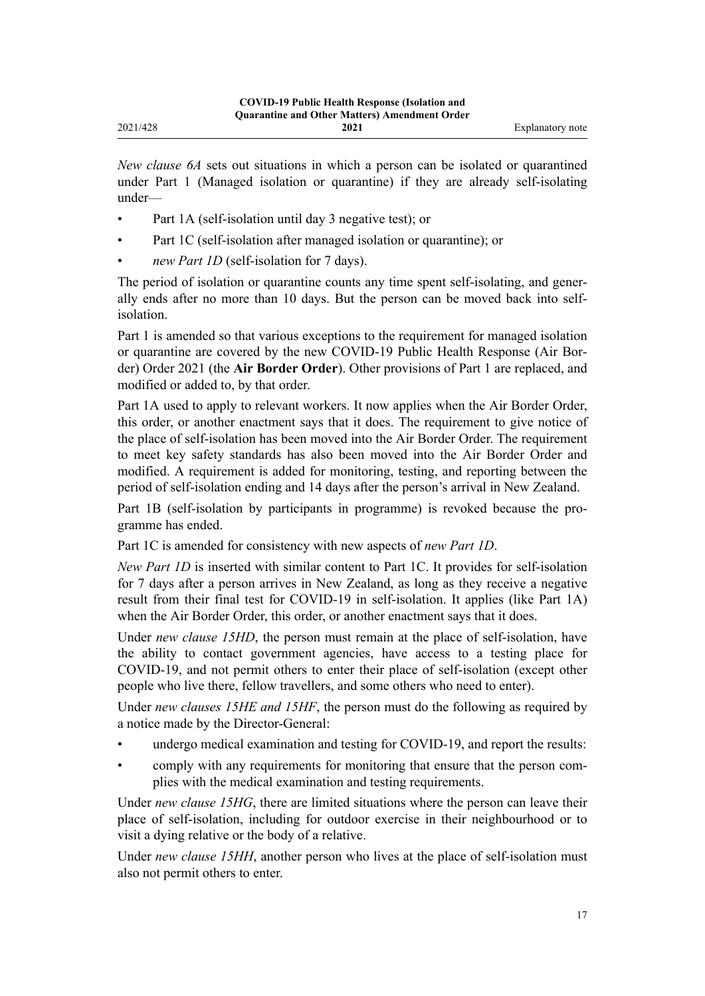*New clause 6A* sets out situations in which a person can be isolated or quarantined under [Part 1](http://legislation.govt.nz/pdflink.aspx?id=LMS401726) (Managed isolation or quarantine) if they are already self-isolating under—

- [Part 1A](http://legislation.govt.nz/pdflink.aspx?id=LMS415267) (self-isolation until day 3 negative test); or
- [Part 1C](http://legislation.govt.nz/pdflink.aspx?id=LMS596648) (self-isolation after managed isolation or quarantine); or
- *new Part 1D* (self-isolation for 7 days).

The period of isolation or quarantine counts any time spent self-isolating, and generally ends after no more than 10 days. But the person can be moved back into selfisolation.

[Part 1](http://legislation.govt.nz/pdflink.aspx?id=LMS401726) is amended so that various exceptions to the requirement for managed isolation or quarantine are covered by the new [COVID-19 Public Health Response \(Air Bor‐](http://legislation.govt.nz/pdflink.aspx?id=LMS577673) [der\) Order 2021](http://legislation.govt.nz/pdflink.aspx?id=LMS577673) (the **Air Border Order**). Other provisions of Part 1 are replaced, and modified or added to, by that order.

[Part 1A](http://legislation.govt.nz/pdflink.aspx?id=LMS415267) used to apply to relevant workers. It now applies when the Air Border Order, this order, or another enactment says that it does. The requirement to give notice of the place of self-isolation has been moved into the Air Border Order. The requirement to meet key safety standards has also been moved into the Air Border Order and modified. A requirement is added for monitoring, testing, and reporting between the period of self-isolation ending and 14 days after the person's arrival in New Zealand.

[Part 1B](http://legislation.govt.nz/pdflink.aspx?id=LMS585055) (self-isolation by participants in programme) is revoked because the programme has ended.

[Part 1C](http://legislation.govt.nz/pdflink.aspx?id=LMS596648) is amended for consistency with new aspects of *new Part 1D*.

*New Part 1D* is inserted with similar content to [Part 1C](http://legislation.govt.nz/pdflink.aspx?id=LMS596648). It provides for self-isolation for 7 days after a person arrives in New Zealand, as long as they receive a negative result from their final test for COVID-19 in self-isolation. It applies (like [Part 1A](http://legislation.govt.nz/pdflink.aspx?id=LMS415267)) when the Air Border Order, this order, or another enactment says that it does.

Under *new clause 15HD*, the person must remain at the place of self-isolation, have the ability to contact government agencies, have access to a testing place for COVID-19, and not permit others to enter their place of self-isolation (except other people who live there, fellow travellers, and some others who need to enter).

Under *new clauses 15HE and 15HF*, the person must do the following as required by a notice made by the Director-General:

- undergo medical examination and testing for COVID-19, and report the results:
- comply with any requirements for monitoring that ensure that the person com‐ plies with the medical examination and testing requirements.

Under *new clause 15HG*, there are limited situations where the person can leave their place of self-isolation, including for outdoor exercise in their neighbourhood or to visit a dying relative or the body of a relative.

Under *new clause 15HH*, another person who lives at the place of self-isolation must also not permit others to enter.